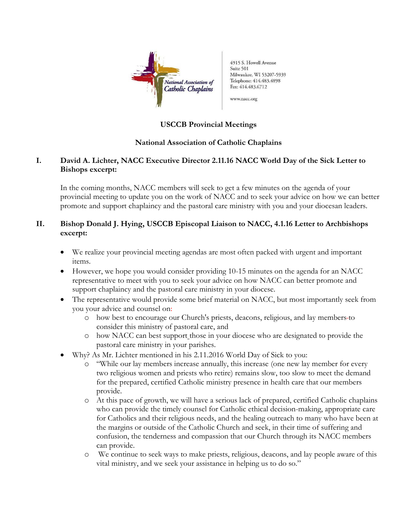

4915 S. Howell Avenue Suite 501 Milwaukee, WI 53207-5939 Telephone: 414.483.4898 Fax: 414.483.6712

www.nacc.org

# **USCCB Provincial Meetings**

## **National Association of Catholic Chaplains**

# **I. David A. Lichter, NACC Executive Director 2.11.16 NACC World Day of the Sick Letter to Bishops excerpt:**

In the coming months, NACC members will seek to get a few minutes on the agenda of your provincial meeting to update you on the work of NACC and to seek your advice on how we can better promote and support chaplaincy and the pastoral care ministry with you and your diocesan leaders.

# **II. Bishop Donald J. Hying, USCCB Episcopal Liaison to NACC, 4.1.16 Letter to Archbishops excerpt:**

- We realize your provincial meeting agendas are most often packed with urgent and important items.
- However, we hope you would consider providing 10-15 minutes on the agenda for an NACC representative to meet with you to seek your advice on how NACC can better promote and support chaplaincy and the pastoral care ministry in your diocese.
- The representative would provide some brief material on NACC, but most importantly seek from you your advice and counsel on:
	- o how best to encourage our Church's priests, deacons, religious, and lay members to consider this ministry of pastoral care, and
	- o how NACC can best support those in your diocese who are designated to provide the pastoral care ministry in your parishes.
- Why? As Mr. Lichter mentioned in his 2.11.2016 World Day of Sick to you:
	- o "While our lay members increase annually, this increase (one new lay member for every two religious women and priests who retire) remains slow, too slow to meet the demand for the prepared, certified Catholic ministry presence in health care that our members provide.
	- o At this pace of growth, we will have a serious lack of prepared, certified Catholic chaplains who can provide the timely counsel for Catholic ethical decision-making, appropriate care for Catholics and their religious needs, and the healing outreach to many who have been at the margins or outside of the Catholic Church and seek, in their time of suffering and confusion, the tenderness and compassion that our Church through its NACC members can provide.
	- o We continue to seek ways to make priests, religious, deacons, and lay people aware of this vital ministry, and we seek your assistance in helping us to do so."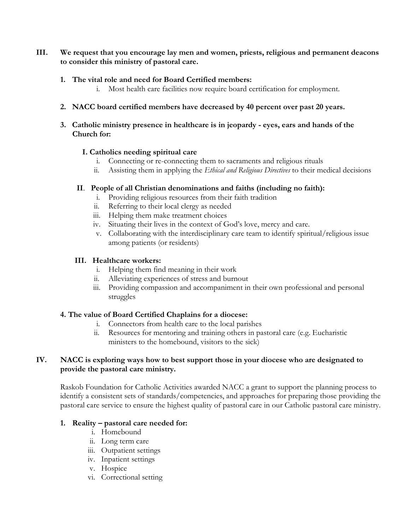### **III. We request that you encourage lay men and women, priests, religious and permanent deacons to consider this ministry of pastoral care.**

#### **1. The vital role and need for Board Certified members:**

i. Most health care facilities now require board certification for employment.

### **2. NACC board certified members have decreased by 40 percent over past 20 years.**

#### **3. Catholic ministry presence in healthcare is in jeopardy - eyes, ears and hands of the Church for:**

#### **I. Catholics needing spiritual care**

- i. Connecting or re-connecting them to sacraments and religious rituals
- ii. Assisting them in applying the *Ethical and Religious Directives* to their medical decisions

#### **II**. **People of all Christian denominations and faiths (including no faith):**

- i. Providing religious resources from their faith tradition
- ii. Referring to their local clergy as needed
- iii. Helping them make treatment choices
- iv. Situating their lives in the context of God's love, mercy and care.
- v. Collaborating with the interdisciplinary care team to identify spiritual/religious issue among patients (or residents)

# **III. Healthcare workers:**

- i. Helping them find meaning in their work
- ii. Alleviating experiences of stress and burnout
- iii. Providing compassion and accompaniment in their own professional and personal struggles

### **4. The value of Board Certified Chaplains for a diocese:**

- i. Connectors from health care to the local parishes
- ii. Resources for mentoring and training others in pastoral care (e.g. Eucharistic ministers to the homebound, visitors to the sick)

### **IV. NACC is exploring ways how to best support those in your diocese who are designated to provide the pastoral care ministry.**

Raskob Foundation for Catholic Activities awarded NACC a grant to support the planning process to identify a consistent sets of standards/competencies, and approaches for preparing those providing the pastoral care service to ensure the highest quality of pastoral care in our Catholic pastoral care ministry.

### **1. Reality – pastoral care needed for:**

- i. Homebound
- ii. Long term care
- iii. Outpatient settings
- iv. Inpatient settings
- v. Hospice
- vi. Correctional setting